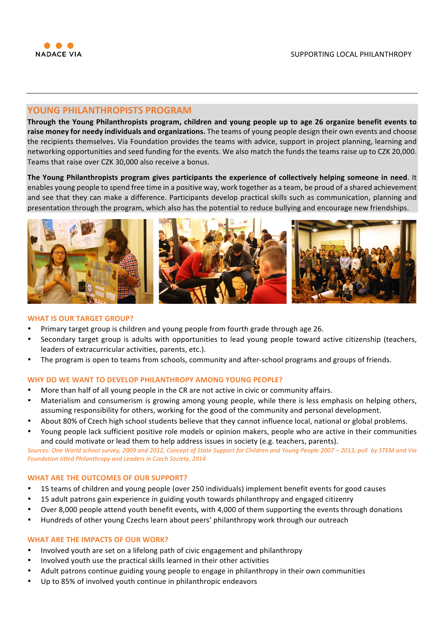

# **YOUNG PHILANTHROPISTS PROGRAM**

Through the Young Philanthropists program, children and young people up to age 26 organize benefit events to raise money for needy individuals and organizations. The teams of young people design their own events and choose the recipients themselves. Via Foundation provides the teams with advice, support in project planning, learning and networking opportunities and seed funding for the events. We also match the funds the teams raise up to CZK 20,000. Teams that raise over CZK 30,000 also receive a bonus.

The Young Philanthropists program gives participants the experience of collectively helping someone in need. It enables young people to spend free time in a positive way, work together as a team, be proud of a shared achievement and see that they can make a difference. Participants develop practical skills such as communication, planning and presentation through the program, which also has the potential to reduce bullying and encourage new friendships.



## **WHAT IS OUR TARGET GROUP?**

- Primary target group is children and young people from fourth grade through age 26.
- Secondary target group is adults with opportunities to lead young people toward active citizenship (teachers, leaders of extracurricular activities, parents, etc.).
- The program is open to teams from schools, community and after-school programs and groups of friends.

### **WHY DO WE WANT TO DEVELOP PHILANTHROPY AMONG YOUNG PEOPLE?**

- More than half of all young people in the CR are not active in civic or community affairs.
- Materialism and consumerism is growing among young people, while there is less emphasis on helping others, assuming responsibility for others, working for the good of the community and personal development.
- About 80% of Czech high school students believe that they cannot influence local, national or global problems.
- Young people lack sufficient positive role models or opinion makers, people who are active in their communities and could motivate or lead them to help address issues in society (e.g. teachers, parents).

Sources: One World school survey, 2009 and 2012, Concept of State Support for Children and Young People 2007 – 2013, poll by STEM and Via Foundation titled Philanthropy and Leaders in Czech Society, 2014

## **WHAT ARE THE OUTCOMES OF OUR SUPPORT?**

- 15 teams of children and young people (over 250 individuals) implement benefit events for good causes
- 15 adult patrons gain experience in guiding youth towards philanthropy and engaged citizenry
- Over 8,000 people attend youth benefit events, with 4,000 of them supporting the events through donations
- Hundreds of other young Czechs learn about peers' philanthropy work through our outreach

### **WHAT ARE THE IMPACTS OF OUR WORK?**

- Involved youth are set on a lifelong path of civic engagement and philanthropy
- Involved youth use the practical skills learned in their other activities
- Adult patrons continue guiding young people to engage in philanthropy in their own communities
- Up to 85% of involved youth continue in philanthropic endeavors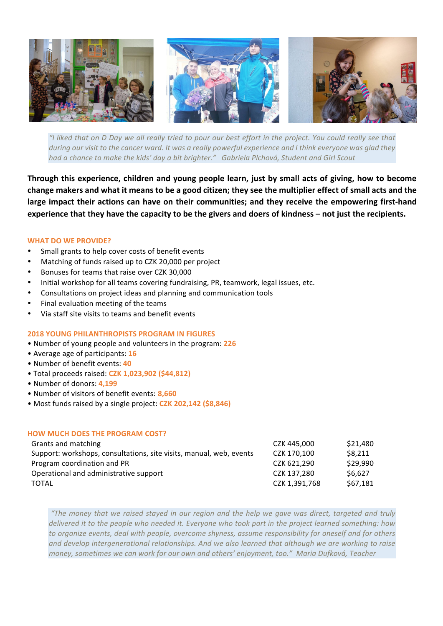

*"I liked that on D Day we all really tried to pour our best effort in the project. You could really see that during* our visit to the cancer ward. It was a really powerful experience and I think everyone was glad they had a chance to make the kids' day a bit brighter." Gabriela Plchová, Student and Girl Scout

Through this experience, children and young people learn, just by small acts of giving, how to become change makers and what it means to be a good citizen; they see the multiplier effect of small acts and the large impact their actions can have on their communities; and they receive the empowering first-hand experience that they have the capacity to be the givers and doers of kindness – not just the recipients.

## **WHAT DO WE PROVIDE?**

- Small grants to help cover costs of benefit events
- Matching of funds raised up to CZK 20,000 per project
- Bonuses for teams that raise over CZK 30,000
- Initial workshop for all teams covering fundraising, PR, teamwork, legal issues, etc.
- Consultations on project ideas and planning and communication tools
- Final evaluation meeting of the teams
- Via staff site visits to teams and benefit events

## **2018 YOUNG PHILANTHROPISTS PROGRAM IN FIGURES**

- Number of young people and volunteers in the program: 226
- • Average age of participants: **16**
- • Number of benefit events: **40**
- • Total proceeds raised: **CZK 1,023,902 (\$44,812)**
- • Number of donors: **4,199**
- • Number of visitors of benefit events: **8,660**
- Most funds raised by a single project: **CZK 202,142 (\$8,846)**

## **HOW MUCH DOES THE PROGRAM COST?**

| Grants and matching                                                 | CZK 445.000   | \$21,480 |
|---------------------------------------------------------------------|---------------|----------|
| Support: workshops, consultations, site visits, manual, web, events | CZK 170.100   | \$8,211  |
| Program coordination and PR                                         | CZK 621.290   | \$29,990 |
| Operational and administrative support                              | CZK 137.280   | \$6.627  |
| TOTAL                                                               | CZK 1.391.768 | \$67,181 |

*"The money that we raised stayed in our region and the help we gave was direct, targeted and truly delivered it to the people who needed it. Everyone who took part in the project learned something: how* to organize events, deal with people, overcome shyness, assume responsibility for oneself and for others and develop intergenerational relationships. And we also learned that although we are working to raise *money, sometimes we can work for our own and others' enjoyment, too." Maria Dufková, Teacher*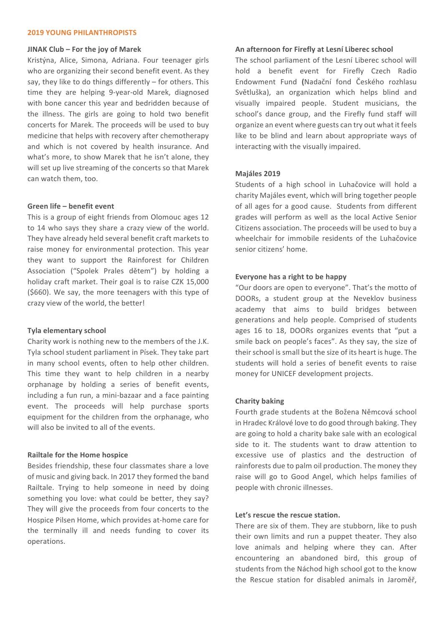### **2019 YOUNG PHILANTHROPISTS**

### **JINAK Club – For the joy of Marek**

Kristýna, Alice, Simona, Adriana. Four teenager girls who are organizing their second benefit event. As they say, they like to do things differently  $-$  for others. This time they are helping 9-year-old Marek, diagnosed with bone cancer this year and bedridden because of the illness. The girls are going to hold two benefit concerts for Marek. The proceeds will be used to buy medicine that helps with recovery after chemotherapy and which is not covered by health insurance. And what's more, to show Marek that he isn't alone, they will set up live streaming of the concerts so that Marek can watch them, too.

### **Green life – benefit event**

This is a group of eight friends from Olomouc ages 12 to 14 who says they share a crazy view of the world. They have already held several benefit craft markets to raise money for environmental protection. This year they want to support the Rainforest for Children Association ("Spolek Prales dětem") by holding a holiday craft market. Their goal is to raise CZK 15,000 (\$660). We say, the more teenagers with this type of crazy view of the world, the better!

### **Tyla elementary school**

Charity work is nothing new to the members of the J.K. Tyla school student parliament in Písek. They take part in many school events, often to help other children. This time they want to help children in a nearby orphanage by holding a series of benefit events, including a fun run, a mini-bazaar and a face painting event. The proceeds will help purchase sports equipment for the children from the orphanage, who will also be invited to all of the events.

#### **Railtale for the Home hospice**

Besides friendship, these four classmates share a love of music and giving back. In 2017 they formed the band Railtale. Trying to help someone in need by doing something you love: what could be better, they say? They will give the proceeds from four concerts to the Hospice Pilsen Home, which provides at-home care for the terminally ill and needs funding to cover its operations.

#### **An afternoon for Firefly at Lesní Liberec school**

The school parliament of the Lesní Liberec school will hold a benefit event for Firefly Czech Radio Endowment Fund **(**Nadační fond Českého rozhlasu Světluška), an organization which helps blind and visually impaired people. Student musicians, the school's dance group, and the Firefly fund staff will organize an event where guests can try out what it feels like to be blind and learn about appropriate ways of interacting with the visually impaired.

### **Majáles 2019**

Students of a high school in Luhačovice will hold a charity Majáles event, which will bring together people of all ages for a good cause. Students from different grades will perform as well as the local Active Senior Citizens association. The proceeds will be used to buy a wheelchair for immobile residents of the Luhačovice senior citizens' home.

### **Everyone has a right to be happy**

"Our doors are open to everyone". That's the motto of DOORs, a student group at the Neveklov business academy that aims to build bridges between generations and help people. Comprised of students ages 16 to 18, DOORs organizes events that "put a smile back on people's faces". As they say, the size of their school is small but the size of its heart is huge. The students will hold a series of benefit events to raise money for UNICEF development projects.

#### **Charity baking**

Fourth grade students at the Božena Němcová school in Hradec Králové love to do good through baking. They are going to hold a charity bake sale with an ecological side to it. The students want to draw attention to excessive use of plastics and the destruction of rainforests due to palm oil production. The money they raise will go to Good Angel, which helps families of people with chronic illnesses.

### Let's rescue the rescue station.

There are six of them. They are stubborn, like to push their own limits and run a puppet theater. They also love animals and helping where they can. After encountering an abandoned bird, this group of students from the Náchod high school got to the know the Rescue station for disabled animals in Jaroměř,